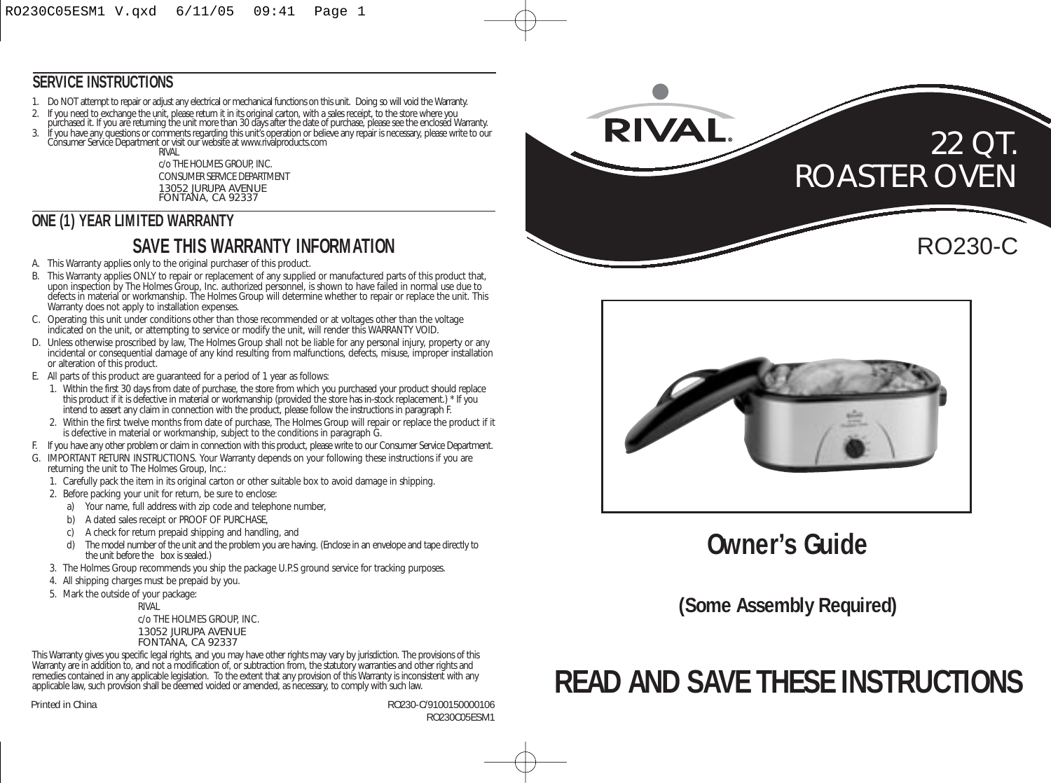#### **SERVICE INSTRUCTIONS**

- 1. Do NOT attempt to repair or adjust any electrical or mechanical functions on this unit. Doing so will void the Warranty.
- 
- 
- 2. If you need to exchange the unit, please return it in its original carton, with a sales receipt, to the store where you<br>purchased it. If you are returning the unit more than 30 days after the date of purchase, please se RIVAL

c/o THE HOLMES GROUP, INC. CONSUMER SERVICE DEPARTMENT 13052 JURUPA AVENUE FONTANA, CA 92337

#### **ONE (1) YEAR LIMITED WARRANTY**

# **SAVE THIS WARRANTY INFORMATION**

- A. This Warranty applies only to the original purchaser of this product.
- B. This Warranty applies ONLY to repair or replacement of any supplied or manufactured parts of this product that, upon inspection by The Holmes Group, Inc. authorized personnel, is shown to have failed in normal use due to defects in material or workmanship. The Holmes Group will determine whether to repair or replace the unit. This Warranty does not apply to installation expenses.
- C. Operating this unit under conditions other than those recommended or at voltages other than the voltage indicated on the unit, or attempting to service or modify the unit, will render this WARRANTY VOID.
- D. Unless otherwise proscribed by law, The Holmes Group shall not be liable for any personal injury, property or any incidental or consequential damage of any kind resulting from malfunctions, defects, misuse, improper installation or alteration of this product.
- E. All parts of this product are guaranteed for a period of 1 year as follows:
	- 1. Within the first 30 days from date of purchase, the store from which you purchased your product should replace this product if it is defective in material or workmanship (provided the store has in-stock replacement.) \* If you intend to assert any claim in connection with the product, please follow the instructions in paragraph F.
	- 2. Within the first twelve months from date of purchase, The Holmes Group will repair or replace the product if it is defective in material or workmanship, subject to the conditions in paragraph G.
- F. If you have any other problem or claim in connection with this product, please write to our Consumer Service Department.
- G. IMPORTANT RETURN INSTRUCTIONS. Your Warranty depends on your following these instructions if you are returning the unit to The Holmes Group, Inc.:
	- 1. Carefully pack the item in its original carton or other suitable box to avoid damage in shipping.
	- 2. Before packing your unit for return, be sure to enclose:
		- a) Your name, full address with zip code and telephone number,
		- b) A dated sales receipt or PROOF OF PURCHASE.
		- c) A check for return prepaid shipping and handling, and
		- The model number of the unit and the problem you are having. (Enclose in an envelope and tape directly to the unit before the box is sealed.)
	- 3. The Holmes Group recommends you ship the package U.P.S ground service for tracking purposes.
	- 4. All shipping charges must be prepaid by you.
	- 5. Mark the outside of your package:

RIVAL

c/o THE HOLMES GROUP, INC. 13052 JURUPA AVENUE FONTANA, CA 92337

This Warranty gives you specific legal rights, and you may have other rights may vary by jurisdiction. The provisions of this Warranty are in addition to, and not a modification of, or subtraction from, the statutory warranties and other rights and remedies contained in any applicable legislation. To the extent that any provision of this Warranty is inconsistent with any applicable law, such provision shall be deemed voided or amended, as necessary, to comply with such law.

Printed in China RO230-C/9100150000106 RO230C05ESM1





# **Owner's Guide**

**(Some Assembly Required)**

# **READ AND SAVE THESE INSTRUCTIONS**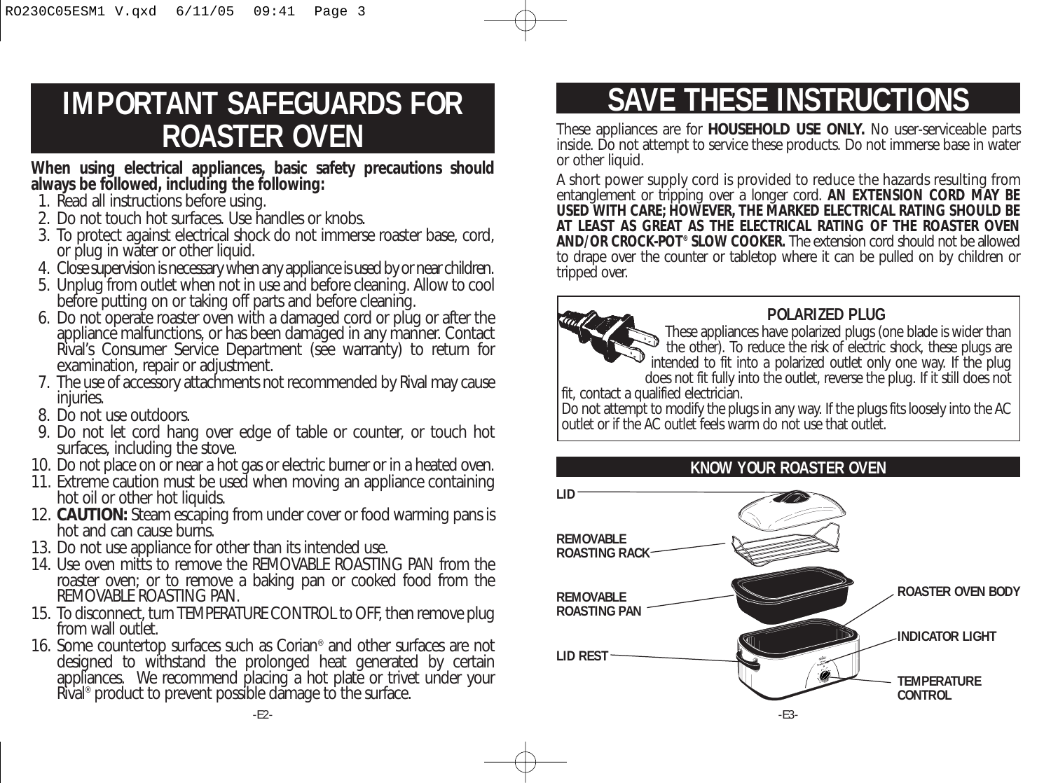# **IMPORTANT SAFEGUARDS FOR ROASTER OVEN**

**When using electrical appliances, basic safety precautions should always be followed, including the following:** 

- 1. Read all instructions before using.
- 2. Do not touch hot surfaces. Use handles or knobs.
- 3. To protect against electrical shock do not immerse roaster base, cord, or plug in water or other liquid.
- 4. Close supervision is necessary when any appliance is used by or near children.
- 5. Unplug from outlet when not in use and before cleaning. Allow to cool before putting on or taking off parts and before cleaning.
- 6. Do not operate roaster oven with a damaged cord or plug or after the appliance malfunctions, or has been damaged in any manner. Contact Rival's Consumer Service Department (see warranty) to return for examination, repair or adjustment.
- 7. The use of accessory attachments not recommended by Rival may cause injuries.
- 8. Do not use outdoors.
- 9. Do not let cord hang over edge of table or counter, or touch hot surfaces, including the stove.
- 10. Do not place on or near a hot gas or electric burner or in a heated oven.
- 11. Extreme caution must be used when moving an appliance containing hot oil or other hot liquids.
- 12. **CAUTION:** Steam escaping from under cover or food warming pans is hot and can cause burns.
- 13. Do not use appliance for other than its intended use.
- 14. Use oven mitts to remove the REMOVABLE ROASTING PAN from the roaster oven; or to remove a baking pan or cooked food from the REMOVABLE ROASTING PAN.
- 15. To disconnect, turn TEMPERATURE CONTROL to OFF, then remove plug from wall outlet.
- 16. Some countertop surfaces such as Corian® and other surfaces are not designed to withstand the prolonged heat generated by certain appliances. We recommend placing a hot plate or trivet under your Rival® product to prevent possible damage to the surface.

# **SAVE THESE INSTRUCTIONS**

These appliances are for **HOUSEHOLD USE ONLY.** No user-serviceable parts inside. Do not attempt to service these products. Do not immerse base in water or other liquid.

A short power supply cord is provided to reduce the hazards resulting from entanglement or tripping over a longer cord. **AN EXTENSION CORD MAY BE USED WITH CARE; HOWEVER, THE MARKED ELECTRICAL RATING SHOULD BE AT LEAST AS GREAT AS THE ELECTRICAL RATING OF THE ROASTER OVEN AND/OR CROCK-POT® SLOW COOKER.** The extension cord should not be allowed to drape over the counter or tabletop where it can be pulled on by children or tripped over.



# **POLARIZED PLUG**

These appliances have polarized plugs (one blade is wider than the other). To reduce the risk of electric shock, these plugs are intended to fit into a polarized outlet only one way. If the plug does not fit fully into the outlet, reverse the plug. If it still does not

fit, contact a qualified electrician.

Do not attempt to modify the plugs in any way. If the plugs fits loosely into the AC outlet or if the AC outlet feels warm do not use that outlet.

# **KNOW YOUR ROASTER OVEN**

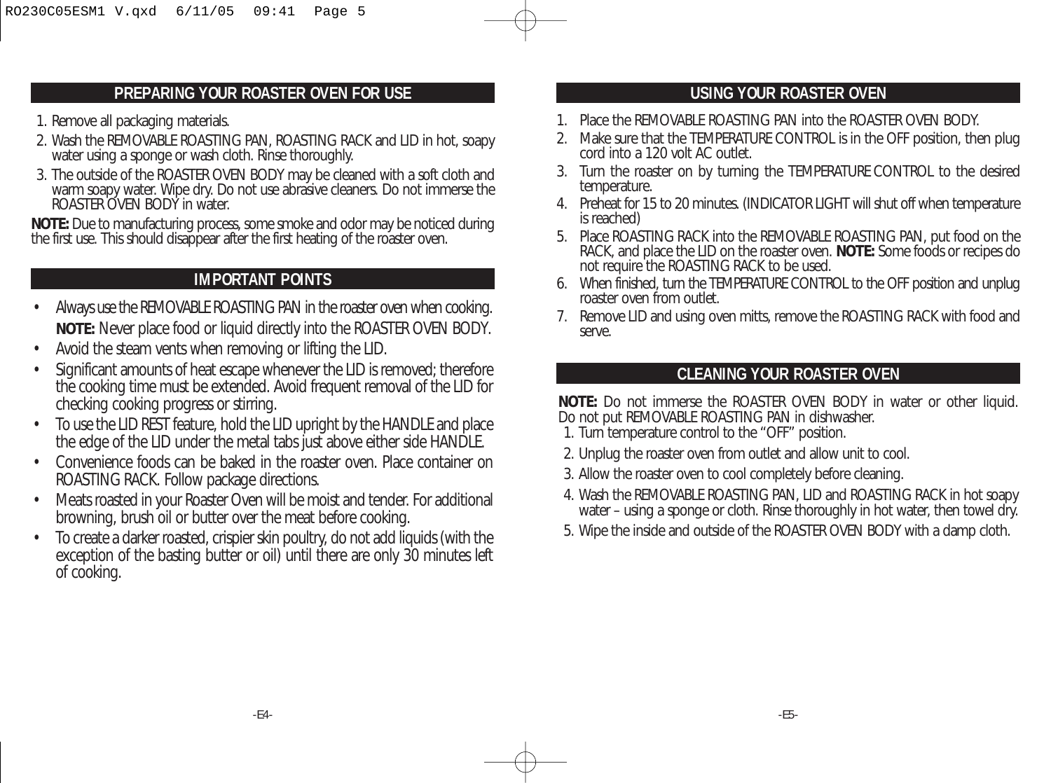#### **PREPARING YOUR ROASTER OVEN FOR USE**

- 1. Remove all packaging materials.
- 2. Wash the REMOVABLE ROASTING PAN, ROASTING RACK and LID in hot, soapy water using a sponge or wash cloth. Rinse thoroughly.
- 3. The outside of the ROASTER OVEN BODY may be cleaned with a soft cloth and warm soapy water. Wipe dry. Do not use abrasive cleaners. Do not immerse the ROASTER OVEN BODY in water.

**NOTE:** Due to manufacturing process, some smoke and odor may be noticed during the first use. This should disappear after the first heating of the roaster oven.

## **IMPORTANT POINTS**

- Always use the REMOVABLE ROASTING PAN in the roaster oven when cooking. **NOTE:** Never place food or liquid directly into the ROASTER OVEN BODY.
- Avoid the steam vents when removing or lifting the LID.
- Significant amounts of heat escape whenever the LID is removed; therefore the cooking time must be extended. Avoid frequent removal of the LID for checking cooking progress or stirring.
- To use the LID REST feature, hold the LID upright by the HANDLE and place the edge of the LID under the metal tabs just above either side HANDLE.
- Convenience foods can be baked in the roaster oven. Place container on ROASTING RACK. Follow package directions.
- Meats roasted in your Roaster Oven will be moist and tender. For additional browning, brush oil or butter over the meat before cooking.
- To create a darker roasted, crispier skin poultry, do not add liquids (with the exception of the basting butter or oil) until there are only 30 minutes left of cooking.

# **USING YOUR ROASTER OVEN**

- 1. Place the REMOVABLE ROASTING PAN into the ROASTER OVEN BODY.
- 2. Make sure that the TEMPERATURE CONTROL is in the OFF position, then plug cord into a 120 volt AC outlet.
- 3. Turn the roaster on by turning the TEMPERATURE CONTROL to the desired temperature.
- 4. Preheat for 15 to 20 minutes. (INDICATOR LIGHT will shut off when temperature is reached)
- 5. Place ROASTING RACK into the REMOVABLE ROASTING PAN, put food on the RACK, and place the LID on the roaster oven. **NOTE:** Some foods or recipes do not require the ROASTING RACK to be used.
- 6. When finished, turn the TEMPERATURE CONTROL to the OFF position and unplug roaster oven from outlet.
- 7. Remove LID and using oven mitts, remove the ROASTING RACK with food and serve.

#### **CLEANING YOUR ROASTER OVEN**

**NOTE:** Do not immerse the ROASTER OVEN BODY in water or other liquid. Do not put REMOVABLE ROASTING PAN in dishwasher.

- 1. Turn temperature control to the "OFF" position.
- 2. Unplug the roaster oven from outlet and allow unit to cool.
- 3. Allow the roaster oven to cool completely before cleaning.
- 4. Wash the REMOVABLE ROASTING PAN, LID and ROASTING RACK in hot soapy water – using a sponge or cloth. Rinse thoroughly in hot water, then towel dry.
- 5. Wipe the inside and outside of the ROASTER OVEN BODY with a damp cloth.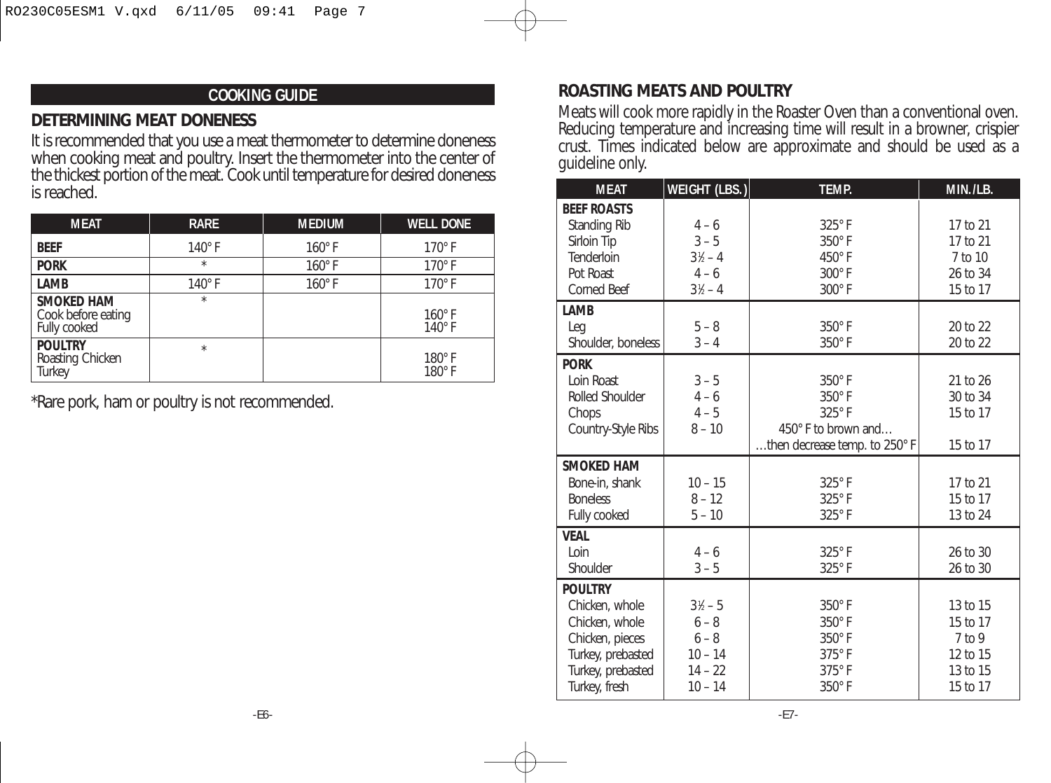## **COOKING GUIDE**

#### **DETERMINING MEAT DONENESS**

It is recommended that you use a meat thermometer to determine doneness when cooking meat and poultry. Insert the thermometer into the center of the thickest portion of the meat. Cook until temperature for desired doneness is reached.

| <b>MEAT</b>                                             | <b>RARE</b>   | <b>MEDIUM</b> | <b>WELL DONE</b>               |
|---------------------------------------------------------|---------------|---------------|--------------------------------|
| <b>BEEF</b>                                             | $140^\circ$ F | $160^\circ$ F | $170^\circ$ F                  |
| <b>PORK</b>                                             | $\star$       | $160^\circ$ F | $170^\circ$ F                  |
| LAMB                                                    | $140^\circ$ F | $160^\circ$ F | $170^\circ$ F                  |
| <b>SMOKED HAM</b><br>Cook before eating<br>Fully cooked | $\star$       |               | $160^\circ$ F<br>$140^\circ$ F |
| <b>POULTRY</b><br>Roasting Chicken<br><b>Turkey</b>     | $\star$       |               | $180^\circ$ F<br>$180^\circ$ F |

\*Rare pork, ham or poultry is not recommended.

## **ROASTING MEATS AND POULTRY**

Meats will cook more rapidly in the Roaster Oven than a conventional oven. Reducing temperature and increasing time will result in a browner, crispier crust. Times indicated below are approximate and should be used as a guideline only.

| <b>MEAT</b>                                                                                                                      | <b>WEIGHT (LBS.)</b>                                                            | <b>TEMP.</b>                                                                                    | MIN./LB.                                                             |
|----------------------------------------------------------------------------------------------------------------------------------|---------------------------------------------------------------------------------|-------------------------------------------------------------------------------------------------|----------------------------------------------------------------------|
| <b>BEEF ROASTS</b><br>Standing Rib<br>Sirloin Tip<br>Tenderloin<br>Pot Roast                                                     | $4 - 6$<br>$3 - 5$<br>$3\frac{1}{2} - 4$<br>$4 - 6$                             | 325°F<br>$350^\circ$ F<br>450°F<br>$300^\circ$ F                                                | 17 to 21<br>17 to 21<br>7 to 10<br>26 to 34                          |
| <b>Corned Beef</b>                                                                                                               | $3\frac{1}{2} - 4$                                                              | $300^\circ$ F                                                                                   | 15 to 17                                                             |
| LAMB<br>Leg<br>Shoulder, boneless                                                                                                | $5 - 8$<br>$3 - 4$                                                              | 350°F<br>350°F                                                                                  | 20 to 22<br>20 to 22                                                 |
| <b>PORK</b><br>Loin Roast<br><b>Rolled Shoulder</b><br>Chops<br>Country-Style Ribs                                               | $3 - 5$<br>$4 - 6$<br>$4 - 5$<br>$8 - 10$                                       | $350^\circ$ F<br>$350^\circ$ F<br>325°F<br>450° F to brown and<br>then decrease temp. to 250° F | 21 to 26<br>30 to 34<br>15 to 17<br>15 to 17                         |
| <b>SMOKED HAM</b><br>Bone-in, shank<br><b>Boneless</b><br>Fully cooked                                                           | $10 - 15$<br>$8 - 12$<br>$5 - 10$                                               | 325°F<br>325°F<br>325°F                                                                         | 17 to 21<br>15 to 17<br>13 to 24                                     |
| <b>VEAL</b><br>Loin<br>Shoulder                                                                                                  | $4 - 6$<br>$3 - 5$                                                              | 325°F<br>$325^\circ$ F                                                                          | 26 to 30<br>26 to 30                                                 |
| <b>POULTRY</b><br>Chicken, whole<br>Chicken, whole<br>Chicken, pieces<br>Turkey, prebasted<br>Turkey, prebasted<br>Turkey, fresh | $3\frac{1}{6} - 5$<br>$6 - 8$<br>$6 - 8$<br>$10 - 14$<br>$14 - 22$<br>$10 - 14$ | $350^\circ$ F<br>350°F<br>350°F<br>$375^\circ$ F<br>$375^\circ$ F<br>$350^\circ$ F              | 13 to 15<br>15 to 17<br>$7$ to 9<br>12 to 15<br>13 to 15<br>15 to 17 |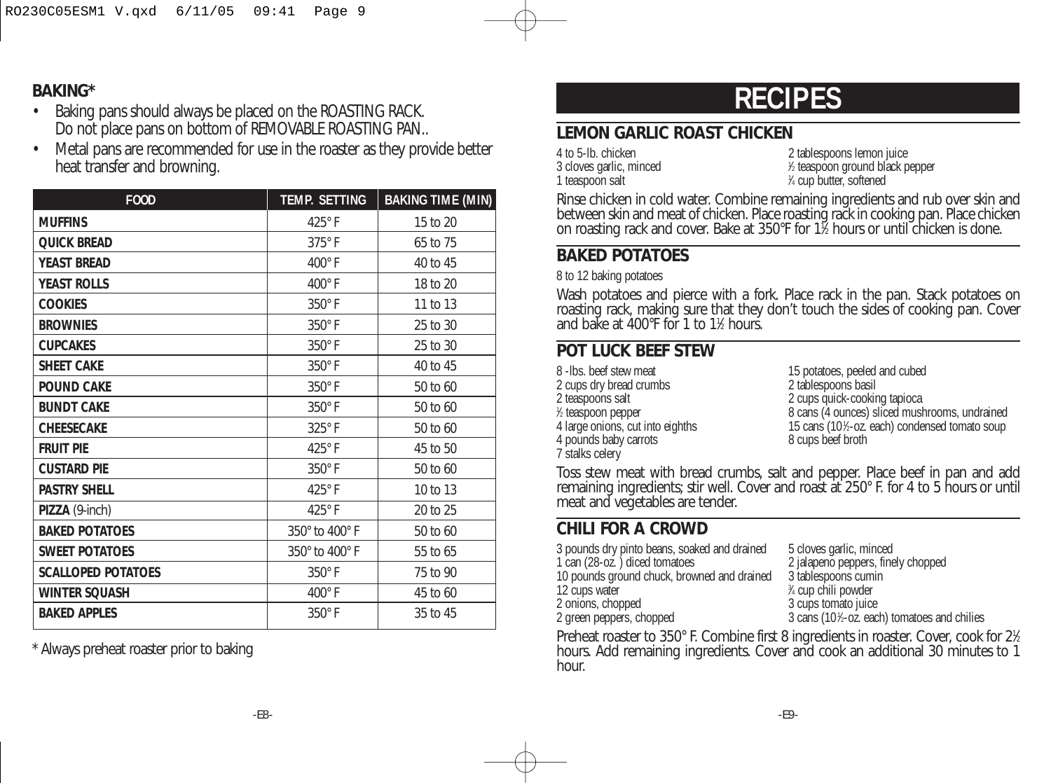#### **BAKING\***

- Baking pans should always be placed on the ROASTING RACK. Do not place pans on bottom of REMOVABLE ROASTING PAN...
- Metal pans are recommended for use in the roaster as they provide better heat transfer and browning.

| <b>FOOD</b>               | <b>TEMP. SETTING</b> | <b>BAKING TIME (MIN)</b> |
|---------------------------|----------------------|--------------------------|
| <b>MUFFINS</b>            | 425°F                | 15 to 20                 |
| <b>QUICK BREAD</b>        | $375^\circ$ F        | 65 to 75                 |
| <b>YEAST BREAD</b>        | $400^\circ$ F        | 40 to 45                 |
| <b>YEAST ROLLS</b>        | $400^\circ$ F        | 18 to 20                 |
| <b>COOKIES</b>            | $350^\circ$ F        | 11 to 13                 |
| <b>BROWNIES</b>           | $350^\circ$ F        | 25 to 30                 |
| <b>CUPCAKES</b>           | 350°F                | 25 to 30                 |
| <b>SHEET CAKE</b>         | 350°F                | 40 to 45                 |
| <b>POUND CAKE</b>         | 350°F                | 50 to 60                 |
| <b>BUNDT CAKE</b>         | 350°F                | 50 to 60                 |
| <b>CHEESECAKE</b>         | 325°F                | 50 to 60                 |
| <b>FRUIT PIF</b>          | 425°F                | 45 to 50                 |
| <b>CUSTARD PIE</b>        | 350°F                | 50 to 60                 |
| <b>PASTRY SHELL</b>       | 425°F                | 10 to 13                 |
| PIZZA (9-inch)            | 425°F                | 20 to 25                 |
| <b>BAKED POTATOES</b>     | 350° to 400° F       | 50 to 60                 |
| <b>SWEET POTATOES</b>     | 350° to 400° F       | 55 to 65                 |
| <b>SCALLOPED POTATOES</b> | 350°F                | 75 to 90                 |
| <b>WINTER SQUASH</b>      | $400^\circ$ F        | 45 to 60                 |
| <b>BAKED APPLES</b>       | 350°F                | 35 to 45                 |

\* Always preheat roaster prior to baking

# **RECIPES**

# **LEMON GARLIC ROAST CHICKEN**

| 4 to 5-lb. chicken      |  |
|-------------------------|--|
|                         |  |
| 3 cloves garlic, minced |  |
|                         |  |
| 1 teaspoon salt         |  |

2 tablespoons lemon juice ⁄2 teaspoon ground black pepper ⁄4 cup butter, softened

Rinse chicken in cold water. Combine remaining ingredients and rub over skin and between skin and meat of chicken. Place roasting rack in cooking pan. Place chicken on roasting rack and cover. Bake at 350°F for 11 ⁄2 hours or until chicken is done.

## **BAKED POTATOES**

8 to 12 baking potatoes

Wash potatoes and pierce with a fork. Place rack in the pan. Stack potatoes on roasting rack, making sure that they don't touch the sides of cooking pan. Cover and bake at 400°F for 1 to 11 ⁄2 hours.

## **POT LUCK BEEF STEW**

| 8 - Ibs. beef stew meat          |  |
|----------------------------------|--|
| 2 cups dry bread crumbs          |  |
| 2 teaspoons salt                 |  |
| 1/2 teaspoon pepper              |  |
| 4 large onions, cut into eighths |  |
| 4 pounds baby carrots            |  |
| 7 stalks celery                  |  |

15 potatoes, peeled and cubed 2 tablespoons basil 2 cups quick-cooking tapioca 8 cans (4 ounces) sliced mushrooms, undrained 4 large onions, cut into eighths 15 cans (101 ⁄2-oz. each) condensed tomato soup 8 cups beef broth

Toss stew meat with bread crumbs, salt and pepper. Place beef in pan and add remaining ingredients; stir well. Cover and roast at 250° F. for 4 to 5 hours or until meat and vegetables are tender.

## **CHILI FOR A CROWD**

| 3 pounds dry pinto beans, soaked and drained | 5 cloves garlic, minced                      |
|----------------------------------------------|----------------------------------------------|
| 1 can (28-oz.) diced tomatoes                | 2 jalapeno peppers, finely chopped           |
| 10 pounds ground chuck, browned and drained  | 3 tablespoons cumin                          |
| 12 cups water                                | <sup>3</sup> ⁄4 cup chili powder             |
| 2 onions, chopped                            | 3 cups tomato juice                          |
| 2 green peppers, chopped                     | 3 cans (101/2-oz. each) tomatoes and chilies |
|                                              |                                              |

Preheat roaster to 350° F. Combine first 8 ingredients in roaster. Cover, cook for 2½ hours. Add remaining ingredients. Cover and cook an additional 30 minutes to 1 hour.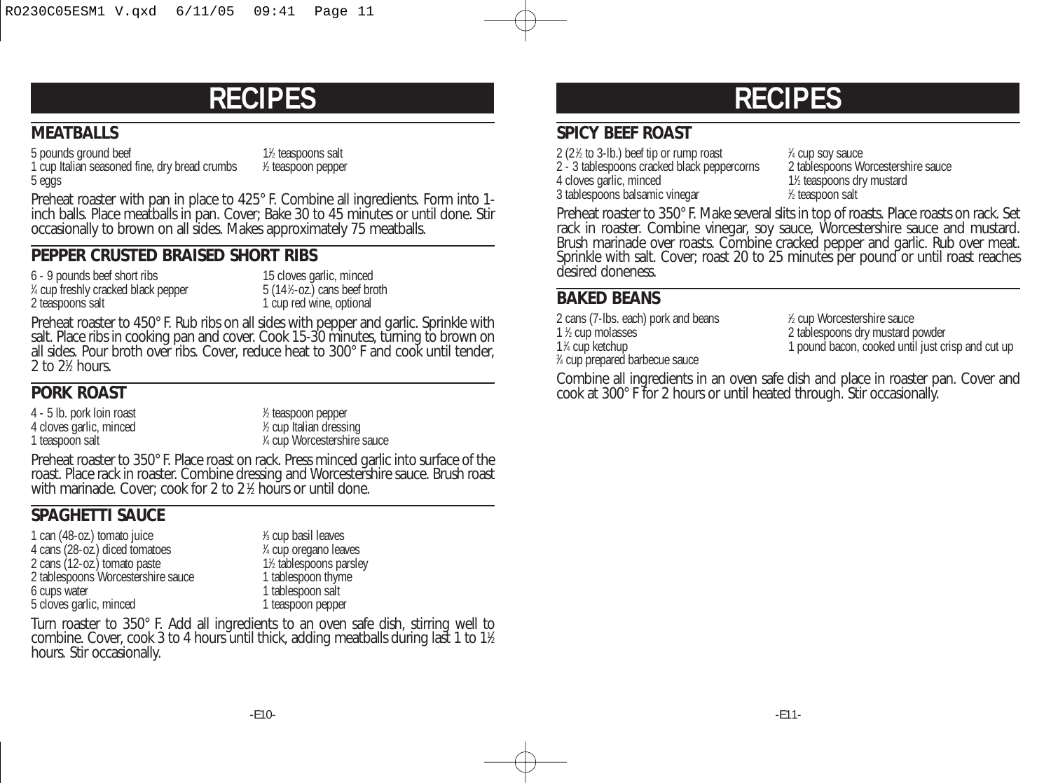# **RECIPES**

### **MEATBALLS**

5 pounds ground beef 1 cup Italian seasoned fine, dry bread crumbs <sup>1</sup> ⁄2 teaspoons salt ⁄2 teaspoon pepper

5 eggs

Preheat roaster with pan in place to 425° F. Combine all ingredients. Form into 1 inch balls. Place meatballs in pan. Cover; Bake 30 to 45 minutes or until done. Stir occasionally to brown on all sides. Makes approximately 75 meatballs.

#### **PEPPER CRUSTED BRAISED SHORT RIBS**

6 - 9 pounds beef short ribs 15 cloves garlic, minced 1 ⁄4 cup freshly cracked black pepper 5 (141 2 teaspoons salt 1 cup red wine, optional

 $5(14\text{%}-oz.)$  cans beef broth

Preheat roaster to 450° F. Rub ribs on all sides with pepper and garlic. Sprinkle with salt. Place ribs in cooking pan and cover. Cook 15-30 minutes, turning to brown on all sides. Pour broth over ribs. Cover, reduce heat to 300° F and cook until tender,  $2$  to  $2\%$  hours.

# **PORK ROAST**

4 - 5 lb. pork loin roast <sup>1</sup> 4 cloves garlic, minced 1 teaspoon salt

⁄2 teaspoon pepper ⁄2 cup Italian dressing ⁄4 cup Worcestershire sauce

Preheat roaster to 350° F. Place roast on rack. Press minced garlic into surface of the roast. Place rack in roaster. Combine dressing and Worcestershire sauce. Brush roast with marinade. Cover; cook for 2 to 2 <sup>1</sup> ⁄2 hours or until done.

# **SPAGHETTI SAUCE**

1 can (48-oz.) tomato juice 4 cans (28-oz.) diced tomatoes <sup>1</sup> 2 cans (12-oz.) tomato paste 12 tablespoons pars<br>
2 tablespoons Worcestershire sauce 1 tablespoon thyme 2 tablespoons Worcestershire sauce<br>6 cups water 5 cloves garlic, minced

⁄3 cup basil leaves ⁄4 cup oregano leaves 1<sup>1</sup>⁄<sub>2</sub> tablespoons parsley 1 tablespoon salt<br>1 teaspoon pepper

Turn roaster to 350° F. Add all ingredients to an oven safe dish, stirring well to combine. Cover, cook 3 to 4 hours until thick, adding meatballs during last 1 to 11 ⁄2 hours. Stir occasionally.

# **RECIPES**

### **SPICY BEEF ROAST**

2 (2 $%$  to 3-lb.) beef tip or rump roast  $1$  $2 - 3$  tablespoons cracked black peppercorns 4 cloves garlic, minced 3 tablespoons balsamic vinegar

% cup soy sauce<br>2 tablespoons Worcestershire sauce ⁄2 teaspoons dry mustard ⁄2 teaspoon salt

Preheat roaster to 350° F. Make several slits in top of roasts. Place roasts on rack. Set rack in roaster. Combine vinegar, soy sauce, Worcestershire sauce and mustard. Brush marinade over roasts. Combine cracked pepper and garlic. Rub over meat. Sprinkle with salt. Cover; roast 20 to 25 minutes per pound or until roast reaches desired doneness.

## **BAKED BEANS**

2 cans (7-lbs. each) pork and beans 1 1 % cup molasses 1<sup>1</sup>/<sub>4</sub> cup ketchup 3 ⁄4 cup prepared barbecue sauce

⁄2 cup Worcestershire sauce 2 tablespoons dry mustard powder 1 pound bacon, cooked until just crisp and cut up

Combine all ingredients in an oven safe dish and place in roaster pan. Cover and cook at 300° F for 2 hours or until heated through. Stir occasionally.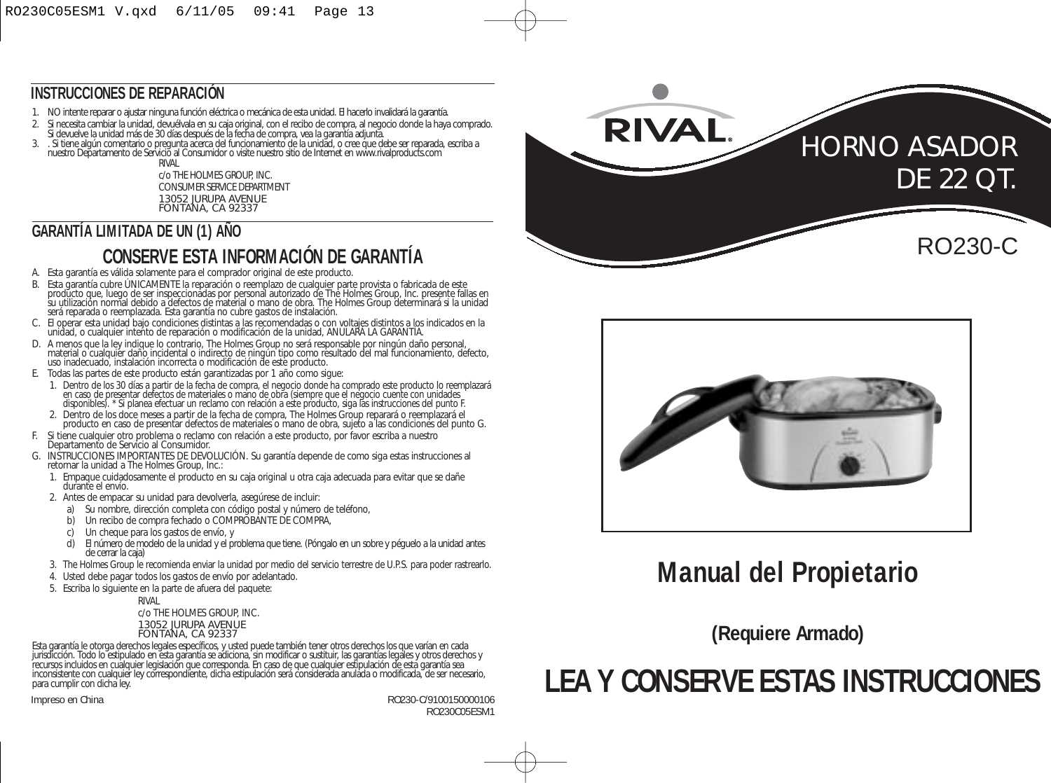## **INSTRUCCIONES DE REPARACIÓN**

- 1. NO intente reparar o ajustar ninguna función eléctrica o mecánica de esta unidad. El hacerlo invalidará la garantía.
- 2. Si necesita cambiar la unidad, devuélvala en su caja original, con el recibo de compra, al negocio donde la haya comprado.
- Si devuelve la unidad más de 30 días después de la fecha de compra, vea la garantia adjunta.<br>3. , Si tiene algún comentario o pregunta acerca del funcionamiento de la unidad, o cree que debe ser reparada, escriba a<br>unes
- RIVAL

c/o THE HOLMES GROUP, INC. CONSUMER SERVICE DEPARTMENT 13052 JURUPA AVENUE FONTANA, CA 92337

# **GARANTÍA LIMITADA DE UN (1) AÑO**

# **CONSERVE ESTA INFORMACIÓN DE GARANTÍA**

- A. Esta garantía es válida solamente para el comprador original de este producto.
- B. Esta garantía cubre UNICAMENTE la reparación o reemplazo de cualquier parte provista o fabricada de este<br>su utilización normal debido a defectos de material o mano de obra. The Holmes Group, Inc. presente fallas en<br>será
- C. El operar esta unidad bajo condiciones distintas a las recomendadas o con voltajes distintos a los indicados en la unidad, o cualquier intento de reparación o modificación de la unidad, ANULARÁ LA GARANTÍA.
- D. A menos que la ley indíque lo contrario, The Holmes Group no será responsable por ningún daño personal,<br>material o cualquier daño incidental o indirecto de ningún tipo como resultado del mal funcionamiento, defecto,<br>us
- E. Todas las partes de este producto están garantizadas por 1 año como sigue:
	- 1. Dentro de los 30 días a partir de la fecha de compra, el negocio donde ha comprado este producto lo reemplazará en caso de presentar defectos de materiales o mano de obra (siempre que el negocio cuente con unidades disponibles). \* Si planea efectuar un reclamo con relación a este producto, siga las instrucciones del punto F.
	- 2. Dentro de los doce meses a partir de la fecha de compra, The Holmes Group reparará o reemplazará el producto en caso de presentar defectos de materiales o mano de obra, sujeto a las condiciones del punto G.
- F. Si tiene cualquier otro problema o reclamo con relación a este producto, por favor escriba a nuestro Departamento de Servicio al Consumidor.
- G. INSTRUCCIONES IMPORTANTES DE DEVOLUCIÓN. Su garantía depende de como siga estas instrucciones al retornar la unidad a The Holmes Group, Inc.:
	- 1. Empaque cuidadosamente el producto en su caja original u otra caja adecuada para evitar que se dañe durante el envío.
	- 2. Antes de empacar su unidad para devolverla, asegúrese de incluir:
		- a) Su nombre, dirección completa con código postal y número de teléfono,
		- b) Un recibo de compra fechado o COMPROBANTE DE COMPRA,<br>c) Un cheque para los gastos de envío, y
		- c) Un cheque para los gastos de envío, y<br>d) Fl número de modelo de la unidad y el pr
		- d) El número de modelo de la unidad y el problema que tiene. (Póngalo en un sobre y péguelo a la unidad antes de cerrar la caja)
	- 3. The Holmes Group le recomienda enviar la unidad por medio del servicio terrestre de U.P.S. para poder rastrearlo.
	- 4. Usted debe pagar todos los gastos de envío por adelantado.
	- 5. Escriba lo siguiente en la parte de afuera del paquete:

RIVAL

c/o THE HOLMES GROUP, INC. 13052 JURUPA AVENUE FONTANA, CA 92337

Esta garantía le otorga derechos legales específicos, y usted puede también tener otros derechos los que varían en cada<br>jurisdicción. Todo lo estipulado en esta garantía se adiciona, sin modificar o sustituir, las garantía inconsistente con cualquier ley correspondiente, dicha estipulación será considerada anulada o modificada, de ser necesario, para cumplir con dicha ley.

Impreso en China RO230-C/9100150000106 RO230C05ESM1





# **Manual del Propietario**

**(Requiere Armado)**

# **LEA Y CONSERVE ESTAS INSTRUCCIONES**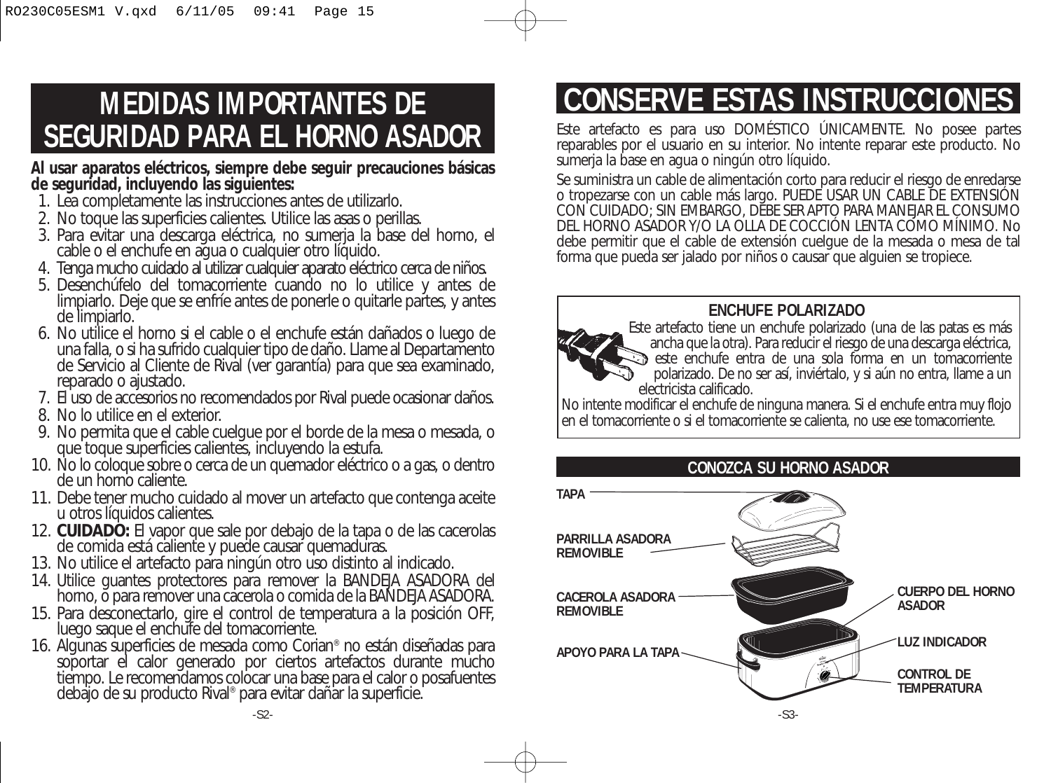# **MEDIDAS IMPORTANTES DE SEGURIDAD PARA EL HORNO ASADOR**

**Al usar aparatos eléctricos, siempre debe seguir precauciones básicas de seguridad, incluyendo las siguientes:** 

- 1. Lea completamente las instrucciones antes de utilizarlo.
- 2. No toque las superficies calientes. Utilice las asas o perillas.
- 3. Para evitar una descarga eléctrica, no sumerja la base del horno, el cable o el enchufe en agua o cualquier otro líquido.
- 4. Tenga mucho cuidado al utilizar cualquier aparato eléctrico cerca de niños.
- 5. Desenchúfelo del tomacorriente cuando no lo utilice y antes de limpiarlo. Deje que se enfríe antes de ponerle o quitarle partes, y antes de limpiarlo.
- 6. No utilice el horno si el cable o el enchufe están dañados o luego de una falla, o si ha sufrido cualquier tipo de daño. Llame al Departamento de Servicio al Cliente de Rival (ver garantía) para que sea examinado, reparado o ajustado.
- 7. El uso de accesorios no recomendados por Rival puede ocasionar daños.
- 8. No lo utilice en el exterior.
- 9. No permita que el cable cuelgue por el borde de la mesa o mesada, o que toque superficies calientes, incluyendo la estufa.
- 10. No lo coloque sobre o cerca de un quemador eléctrico o a gas, o dentro de un horno caliente.
- 11. Debe tener mucho cuidado al mover un artefacto que contenga aceite u otros líquidos calientes.
- 12. **CUIDADO:** El vapor que sale por debajo de la tapa o de las cacerolas de comida está caliente y puede causar quemaduras.
- 13. No utilice el artefacto para ningún otro uso distinto al indicado.
- 14. Utilice guantes protectores para remover la BANDEJA ASADORA del horno, o para remover una cacerola o comida de la BANDEJA ASADORA.
- 15. Para desconectarlo, gire el control de temperatura a la posición OFF, luego saque el enchufe del tomacorriente.
- 16. Algunas superficies de mesada como Corian® no están diseñadas para soportar el calor generado por ciertos artefactos durante mucho tiempo. Le recomendamos colocar una base para el calor o posafuentes debajo de su producto Rival® para evitar dañar la superficie.

# **CONSERVE ESTAS INSTRUCCIONES**

Este artefacto es para uso DOMÉSTICO ÚNICAMENTE. No posee partes reparables por el usuario en su interior. No intente reparar este producto. No sumerja la base en agua o ningún otro líquido.

Se suministra un cable de alimentación corto para reducir el riesgo de enredarse o tropezarse con un cable más largo. PUEDE USAR UN CABLE DE EXTENSIÓN CON CUIDADO; SIN EMBARGO, DEBE SER APTO PARA MANEJAR EL CONSUMO DEL HORNO ASADOR Y/O LA OLLA DE COCCIÓN LENTA COMO MÍNIMO. No debe permitir que el cable de extensión cuelgue de la mesada o mesa de tal forma que pueda ser jalado por niños o causar que alguien se tropiece.

## **ENCHUFE POLARIZADO**



Este artefacto tiene un enchufe polarizado (una de las patas es más ancha que la otra). Para reducir el riesgo de una descarga eléctrica, este enchufe entra de una sola forma en un tomacorriente polarizado. De no ser así, inviértalo, y si aún no entra, llame a un electricista calificado.

No intente modificar el enchufe de ninguna manera. Si el enchufe entra muy flojo en el tomacorriente o si el tomacorriente se calienta, no use ese tomacorriente.

## **CONOZCA SU HORNO ASADOR**

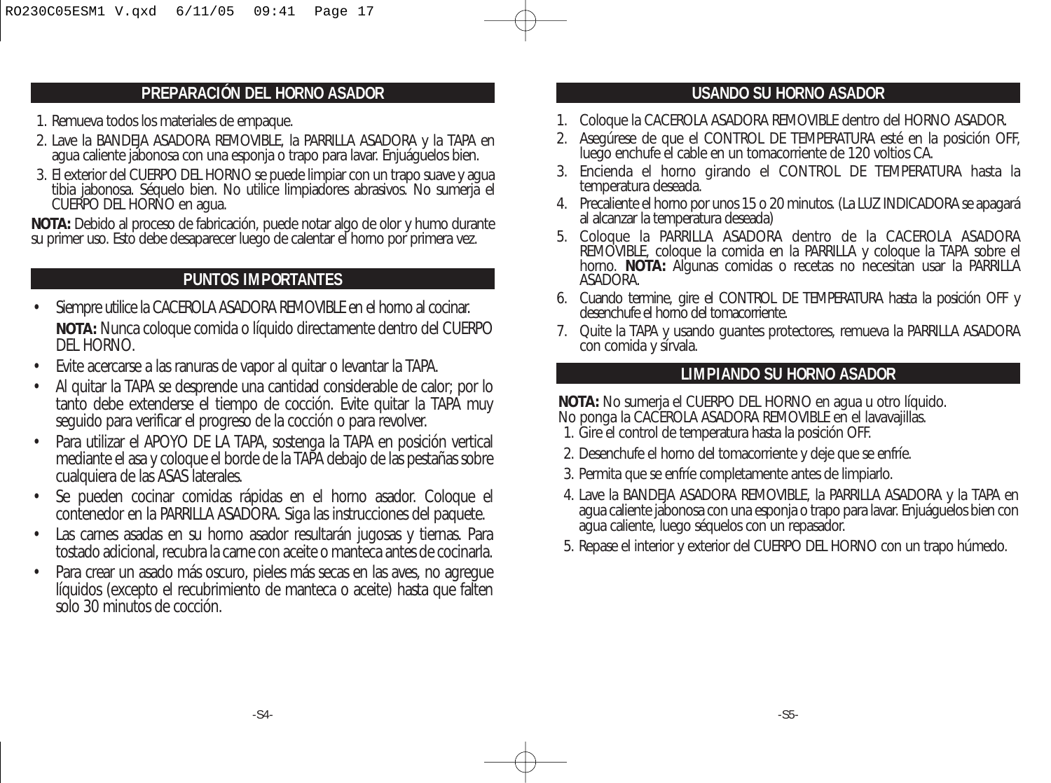#### **PREPARACIÓN DEL HORNO ASADOR**

- 1. Remueva todos los materiales de empaque.
- 2. Lave la BANDEJA ASADORA REMOVIBLE, la PARRILLA ASADORA y la TAPA en agua caliente jabonosa con una esponja o trapo para lavar. Enjuáguelos bien.
- 3. El exterior del CUERPO DEL HORNO se puede limpiar con un trapo suave y agua tibia jabonosa. Séquelo bien. No utilice limpiadores abrasivos. No sumerja el CUERPO DEL HORNO en agua.

**NOTA:** Debido al proceso de fabricación, puede notar algo de olor y humo durante su primer uso. Esto debe desaparecer luego de calentar el horno por primera vez.

## **PUNTOS IMPORTANTES**

- Siempre utilice la CACEROLA ASADORA REMOVIBLE en el horno al cocinar. **NOTA:** Nunca coloque comida o líquido directamente dentro del CUERPO DEL HORNO.
- Evite acercarse a las ranuras de vapor al quitar o levantar la TAPA.
- Al quitar la TAPA se desprende una cantidad considerable de calor; por lo tanto debe extenderse el tiempo de cocción. Evite quitar la TAPA muy seguido para verificar el progreso de la cocción o para revolver.
- Para utilizar el APOYO DE LA TAPA, sostenga la TAPA en posición vertical mediante el asa y coloque el borde de la TAPA debajo de las pestañas sobre cualquiera de las ASAS laterales.
- Se pueden cocinar comidas rápidas en el horno asador. Coloque el contenedor en la PARRILLA ASADORA. Siga las instrucciones del paquete.
- Las carnes asadas en su horno asador resultarán jugosas y tiernas. Para tostado adicional, recubra la carne con aceite o manteca antes de cocinarla.
- Para crear un asado más oscuro, pieles más secas en las aves, no agregue líquidos (excepto el recubrimiento de manteca o aceite) hasta que falten solo 30 minutos de cocción.

### **USANDO SU HORNO ASADOR**

- 1. Coloque la CACEROLA ASADORA REMOVIBLE dentro del HORNO ASADOR.
- 2. Asegúrese de que el CONTROL DE TEMPERATURA esté en la posición OFF, luego enchufe el cable en un tomacorriente de 120 voltios CA.
- 3. Encienda el horno girando el CONTROL DE TEMPERATURA hasta la temperatura deseada.
- 4. Precaliente el horno por unos 15 o 20 minutos. (La LUZ INDICADORA se apagará al alcanzar la temperatura deseada)
- 5. Coloque la PARRILLA ASADORA dentro de la CACEROLA ASADORA REMOVIBLE, coloque la comida en la PARRILLA y coloque la TAPA sobre el horno. **NOTA:** Algunas comidas o recetas no necesitan usar la PARRILLA ASADORA.
- 6. Cuando termine, gire el CONTROL DE TEMPERATURA hasta la posición OFF y desenchufe el horno del tomacorriente.
- 7. Quite la TAPA y usando guantes protectores, remueva la PARRILLA ASADORA con comida y sírvala.

#### **LIMPIANDO SU HORNO ASADOR**

**NOTA:** No sumerja el CUERPO DEL HORNO en agua u otro líquido.

- No ponga la CACEROLA ASADORA REMOVIBLE en el lavavajillas.
- 1. Gire el control de temperatura hasta la posición OFF.
- 2. Desenchufe el horno del tomacorriente y deje que se enfríe.
- 3. Permita que se enfríe completamente antes de limpiarlo.
- 4. Lave la BANDEJA ASADORA REMOVIBLE, la PARRILLA ASADORA y la TAPA en agua caliente jabonosa con una esponja o trapo para lavar. Enjuáguelos bien con agua caliente, luego séquelos con un repasador.
- 5. Repase el interior y exterior del CUERPO DEL HORNO con un trapo húmedo.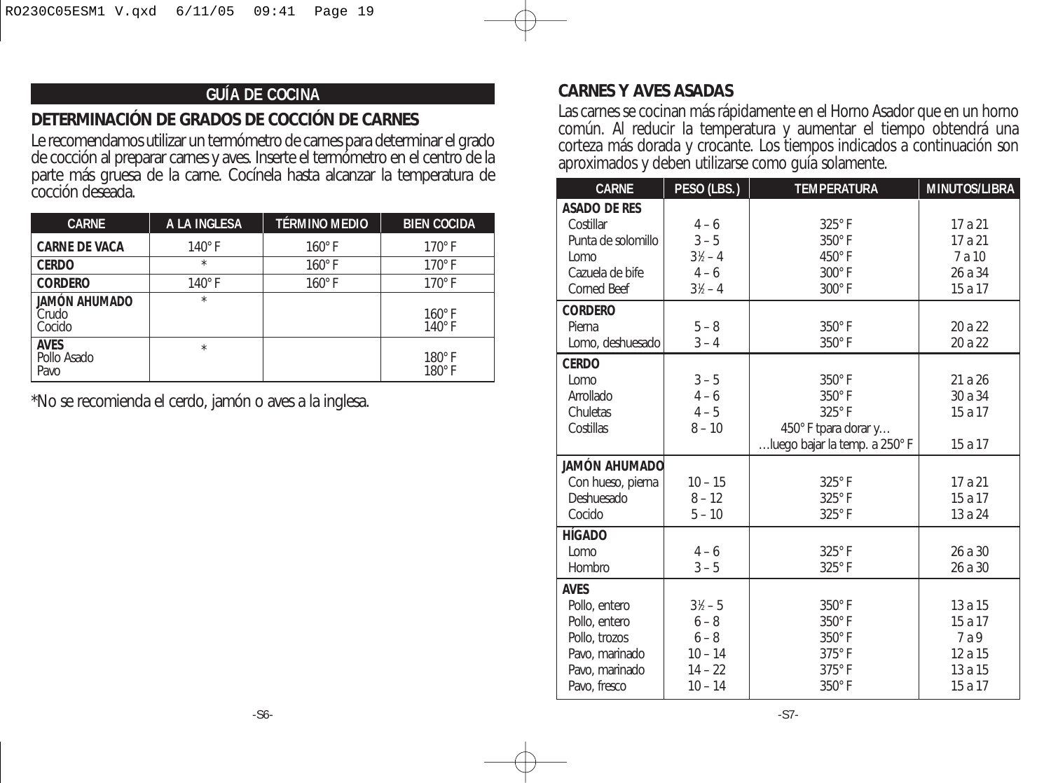## **GUÍA DE COCINA**

# **DETERMINACIÓN DE GRADOS DE COCCIÓN DE CARNES**

Le recomendamos utilizar un termómetro de carnes para determinar el grado de cocción al preparar carnes y aves. Inserte el termómetro en el centro de la parte más gruesa de la carne. Cocínela hasta alcanzar la temperatura de cocción deseada.

| <b>CARNE</b>                       | A LA INGLESA  | <b>TÉRMINO MEDIO</b> | <b>BIEN COCIDA</b>             |
|------------------------------------|---------------|----------------------|--------------------------------|
| <b>CARNE DE VACA</b>               | $140^\circ$ F | $160^\circ$ F        | $170^\circ$ F                  |
| <b>CERDO</b>                       | $\star$       | $160^\circ$ F        | $170^\circ$ F                  |
| <b>CORDERO</b>                     | $140^\circ$ F | $160^\circ$ F        | $170^\circ$ F                  |
| JAMÓN AHUMADO<br>Crudo<br>Cocido   | $\star$       |                      | $160^\circ$ F<br>$140^\circ$ F |
| <b>AVES</b><br>Pollo Asado<br>Pavo | $\star$       |                      | $180^\circ$ F<br>180°F         |

\*No se recomienda el cerdo, jamón o aves a la inglesa.

#### **CARNES Y AVES ASADAS**

Las carnes se cocinan más rápidamente en el Horno Asador que en un horno común. Al reducir la temperatura y aumentar el tiempo obtendrá una corteza más dorada y crocante. Los tiempos indicados a continuación son aproximados y deben utilizarse como guía solamente.

| <b>CARNE</b>         | PESO (LBS.)        | <b>TEMPERATURA</b>            | <b>MINUTOS/LIBRA</b> |
|----------------------|--------------------|-------------------------------|----------------------|
| <b>ASADO DE RES</b>  |                    |                               |                      |
| Costillar            | $4 - 6$            | 325°F                         | 17 a 21              |
| Punta de solomillo   | $3 - 5$            | $350^\circ$ F                 | 17 a 21              |
| Lomo                 | $3\frac{1}{2} - 4$ | $450^\circ$ F                 | 7 a 10               |
| Cazuela de bife      | $4 - 6$            | $300^\circ$ F                 | 26 a 34              |
| Corned Beef          | $31/2 - 4$         | 300°F                         | 15 a 17              |
| <b>CORDERO</b>       |                    |                               |                      |
| Pierna               | $5 - 8$            | 350°F                         | 20 a 22              |
| Lomo, deshuesado     | $3 - 4$            | 350°F                         | 20 a 22              |
| <b>CERDO</b>         |                    |                               |                      |
| Lomo                 | $3 - 5$            | $350^\circ$ F                 | 21 a 26              |
| Arrollado            | $4 - 6$            | $350^\circ$ F                 | 30 a 34              |
| Chuletas             | $4 - 5$            | 325°F                         | 15 a 17              |
| Costillas            | $8 - 10$           | 450° F tpara dorar y          |                      |
|                      |                    | luego bajar la temp. a 250° F | 15 a 17              |
| <b>JAMÓN AHUMADO</b> |                    |                               |                      |
| Con hueso, pierna    | $10 - 15$          | 325°F                         | 17 a 21              |
| Deshuesado           | $8 - 12$           | 325°F                         | 15 a 17              |
| Cocido               | $5 - 10$           | 325°F                         | 13 a 24              |
| <b>HÍGADO</b>        |                    |                               |                      |
| Lomo                 | $4 - 6$            | $325^\circ$ F                 | 26 a 30              |
| Hombro               | $3 - 5$            | 325°F                         | 26 a 30              |
| <b>AVES</b>          |                    |                               |                      |
| Pollo, entero        | $3\frac{1}{2} - 5$ | $350^\circ$ F                 | 13 a 15              |
| Pollo, entero        | $6 - 8$            | $350^\circ$ F                 | 15 a 17              |
| Pollo, trozos        | $6 - 8$            | 350°F                         | 7 a 9                |
| Pavo, marinado       | $10 - 14$          | $375^\circ$ F                 | 12 a 15              |
| Pavo, marinado       | $14 - 22$          | $375^\circ$ F                 | 13 a 15              |
| Pavo, fresco         | $10 - 14$          | 350°F                         | 15 a 17              |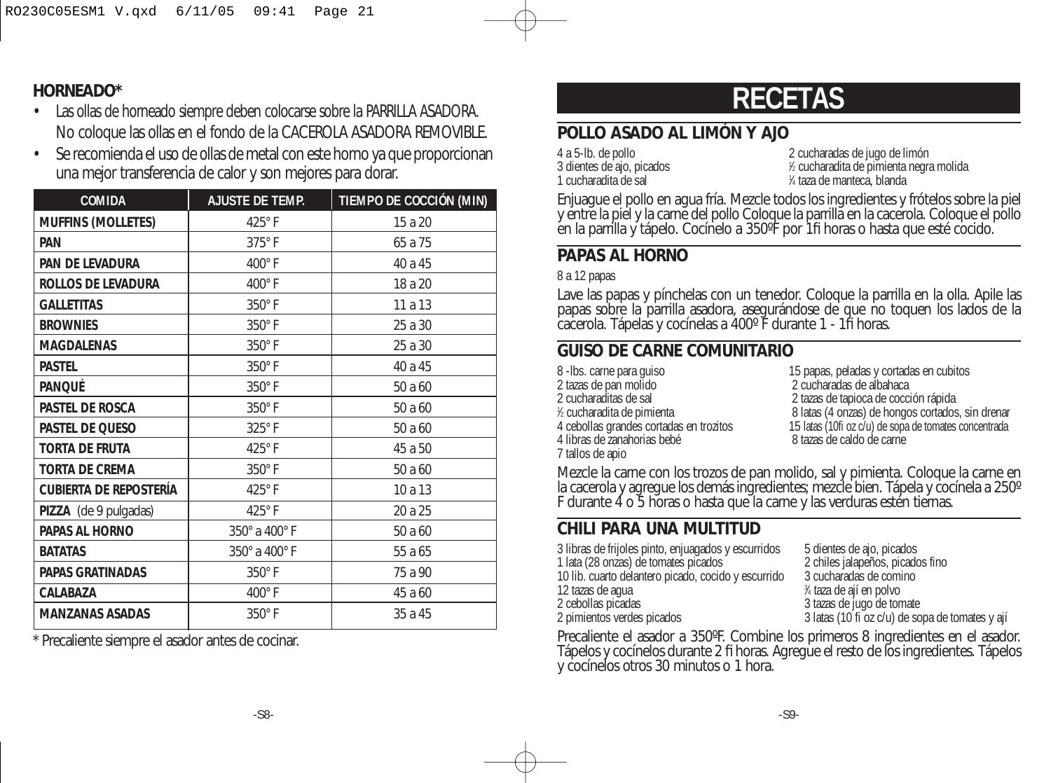## **HORNEADO\***

- Las ollas de horneado siempre deben colocarse sobre la PARRILLA ASADORA. No coloque las ollas en el fondo de la CACEROLA ASADORA REMOVIBLE.
- Se recomienda el uso de ollas de metal con este horno ya que proporcionan una mejor transferencia de calor y son mejores para dorar.

| <b>COMIDA</b>                 | <b>AJUSTE DE TEMP.</b> | TIEMPO DE COCCIÓN (MIN) |
|-------------------------------|------------------------|-------------------------|
| <b>MUFFINS (MOLLETES)</b>     | $425^\circ$ F          | 15 a 20                 |
| PAN                           | 375°F                  | 65 a 75                 |
| PAN DE LEVADURA               | $400^\circ$ F          | 40 a 45                 |
| ROLLOS DE LEVADURA            | 400°F                  | 18 a 20                 |
| <b>GALLETITAS</b>             | 350°F                  | 11a13                   |
| <b>BROWNIES</b>               | 350°F                  | 25 a 30                 |
| <b>MAGDALENAS</b>             | 350°F                  | 25 a 30                 |
| <b>PASTEL</b>                 | 350°F                  | 40 a 45                 |
| PANQUÉ                        | 350°F                  | 50 a 60                 |
| Pastel de Rosca               | 350°F                  | 50 a 60                 |
| PASTEL DE QUESO               | $325^\circ$ F          | 50 a 60                 |
| TORTA DE FRUTA                | $425^\circ$ F          | 45 a 50                 |
| <b>TORTA DE CREMA</b>         | 350°F                  | 50 a 60                 |
| <b>CUBIERTA DE REPOSTERÍA</b> | 425°F                  | 10 a 13                 |
| PIZZA (de 9 pulgadas)         | $425^\circ$ F          | 20 a 25                 |
| PAPAS AL HORNO                | 350° a 400° F          | 50 a 60                 |
| <b>BATATAS</b>                | 350° a 400° F          | 55 a 65                 |
| PAPAS GRATINADAS              | $350^\circ$ F          | 75 a 90                 |
| CALABAZA                      | 400°F                  | 45 a 60                 |
| <b>MANZANAS ASADAS</b>        | 350°F                  | 35 a 45                 |

\* Precaliente siempre el asador antes de cocinar.

# **RECETAS**

# **POLLO ASADO AL LIMÓN Y AJO**

3 dientes de ajo, picados <sup>1</sup> 1 cucharadita de sal

4 a 5-lb. de pollo 2 cucharadas de jugo de limón ⁄2 cucharadita de pimienta negra molida ⁄4 taza de manteca, blanda

Enjuague el pollo en agua fría. Mezcle todos los ingredientes y frótelos sobre la piel y entre la piel y la carne del pollo Coloque la parrilla en la cacerola. Coloque el pollo en la parrilla y tápelo. Cocínelo a 350ºF por 1fi horas o hasta que esté cocido.

## **PAPAS AL HORNO**

8 a 12 papas

Lave las papas y pínchelas con un tenedor. Coloque la parrilla en la olla. Apile las papas sobre la parrilla asadora, asegurándose de que no toquen los lados de la cacerola. Tápelas y cocínelas a 400º F durante 1 - 1fi horas.

# **GUISO DE CARNE COMUNITARIO**

- 8 -lbs. carne para guiso 15 papas, peladas y cortadas en cubitos<br>15 papas de pan molido 15 papas de alta da cucharadas de albahaca 2 tazas de pan molido<br>2 cucharaditas de sal 1/2 cucharadita de pimienta 4 libras de zanahorias bebé 7 tallos de apio
- 2 tazas de tapioca de cocción rápida % cucharadita de pimienta<br>4 cebollas grandes cortadas en trozitos 6 latas (10fi oz c/u) de sopa de tomates concentrada 15 latas (10fi oz c/u) de sopa de tomates concentrada<br>8 tazas de caldo de carne

Mezcle la carne con los trozos de pan molido, sal y pimienta. Coloque la carne en la cacerola y agregue los demás ingredientes; mezcle bien. Tápela y cocínela a 250° F durante 4 o 5 horas o hasta que la carne y las verduras estén tiernas.

# **CHILI PARA UNA MULTITUD**

| 3 latas (10 fi oz c/u) de sopa de tomates y ají |
|-------------------------------------------------|
|                                                 |

Precaliente el asador a 350ºF. Combine los primeros 8 ingredientes en el asador. Tápelos y cocínelos durante 2 fi horas. Agregue el resto de los ingredientes. Tápelos y cocínelos otros 30 minutos o 1 hora.